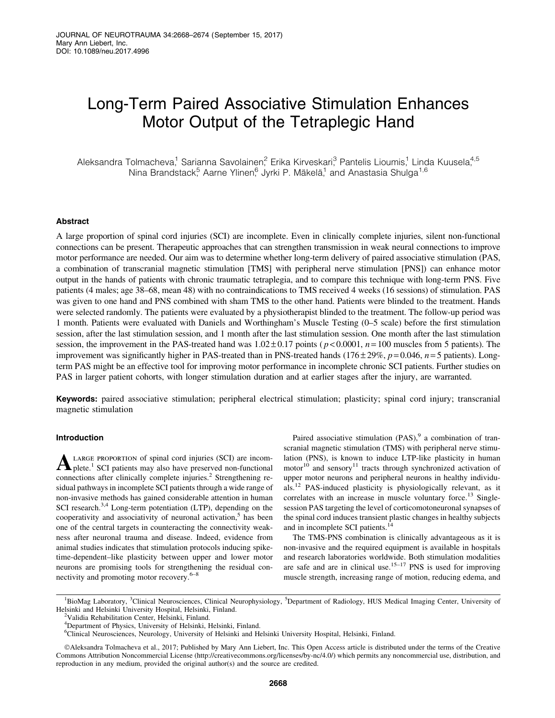# Long-Term Paired Associative Stimulation Enhances Motor Output of the Tetraplegic Hand

Aleksandra Tolmacheva,<sup>1</sup> Sarianna Savolainen, Erika Kirveskari,<sup>3</sup> Pantelis Lioumis,<sup>1</sup> Linda Kuusela,<sup>4,5</sup> Nina Brandstack<sup>5</sup> Aarne Ylinen,<sup>6</sup> Jyrki P. Mäkelä<sup>1</sup> and Anastasia Shulga<sup>1,6</sup>

## Abstract

A large proportion of spinal cord injuries (SCI) are incomplete. Even in clinically complete injuries, silent non-functional connections can be present. Therapeutic approaches that can strengthen transmission in weak neural connections to improve motor performance are needed. Our aim was to determine whether long-term delivery of paired associative stimulation (PAS, a combination of transcranial magnetic stimulation [TMS] with peripheral nerve stimulation [PNS]) can enhance motor output in the hands of patients with chronic traumatic tetraplegia, and to compare this technique with long-term PNS. Five patients (4 males; age 38–68, mean 48) with no contraindications to TMS received 4 weeks (16 sessions) of stimulation. PAS was given to one hand and PNS combined with sham TMS to the other hand. Patients were blinded to the treatment. Hands were selected randomly. The patients were evaluated by a physiotherapist blinded to the treatment. The follow-up period was 1 month. Patients were evaluated with Daniels and Worthingham's Muscle Testing (0–5 scale) before the first stimulation session, after the last stimulation session, and 1 month after the last stimulation session. One month after the last stimulation session, the improvement in the PAS-treated hand was  $1.02 \pm 0.17$  points ( $p < 0.0001$ ,  $n = 100$  muscles from 5 patients). The improvement was significantly higher in PAS-treated than in PNS-treated hands ( $176 \pm 29\%$ ,  $p = 0.046$ ,  $n = 5$  patients). Longterm PAS might be an effective tool for improving motor performance in incomplete chronic SCI patients. Further studies on PAS in larger patient cohorts, with longer stimulation duration and at earlier stages after the injury, are warranted.

Keywords: paired associative stimulation; peripheral electrical stimulation; plasticity; spinal cord injury; transcranial magnetic stimulation

# Introduction

A LARGE PROPORTION of spinal cord injuries (SCI) are incom-<br>plete.<sup>1</sup> SCI patients may also have preserved non-functional connections after clinically complete injuries.<sup>2</sup> Strengthening residual pathways in incomplete SCI patients through a wide range of non-invasive methods has gained considerable attention in human SCI research.<sup>3,4</sup> Long-term potentiation (LTP), depending on the cooperativity and associativity of neuronal activation, $5$  has been one of the central targets in counteracting the connectivity weakness after neuronal trauma and disease. Indeed, evidence from animal studies indicates that stimulation protocols inducing spiketime-dependent–like plasticity between upper and lower motor neurons are promising tools for strengthening the residual connectivity and promoting motor recovery. $6-8$ 

Paired associative stimulation  $(PAS)$ , a combination of transcranial magnetic stimulation (TMS) with peripheral nerve stimulation (PNS), is known to induce LTP-like plasticity in human motor $10$  and sensory $11$  tracts through synchronized activation of upper motor neurons and peripheral neurons in healthy individuals.<sup>12</sup> PAS-induced plasticity is physiologically relevant, as it correlates with an increase in muscle voluntary force.<sup>13</sup> Singlesession PAS targeting the level of corticomotoneuronal synapses of the spinal cord induces transient plastic changes in healthy subjects and in incomplete SCI patients.<sup>14</sup>

The TMS-PNS combination is clinically advantageous as it is non-invasive and the required equipment is available in hospitals and research laboratories worldwide. Both stimulation modalities are safe and are in clinical use.<sup>15–17</sup> PNS is used for improving muscle strength, increasing range of motion, reducing edema, and

<sup>&</sup>lt;sup>1</sup>BioMag Laboratory, <sup>3</sup>Clinical Neurosciences, Clinical Neurophysiology, <sup>5</sup>Department of Radiology, HUS Medical Imaging Center, University of Helsinki and Helsinki University Hospital, Helsinki, Finland. <sup>2</sup>

Validia Rehabilitation Center, Helsinki, Finland.

<sup>4</sup> Department of Physics, University of Helsinki, Helsinki, Finland.

<sup>6</sup> Clinical Neurosciences, Neurology, University of Helsinki and Helsinki University Hospital, Helsinki, Finland.

<sup>©</sup>Aleksandra Tolmacheva et al., 2017; Published by Mary Ann Liebert, Inc. This Open Access article is distributed under the terms of the Creative Commons Attribution Noncommercial License (http://creativecommons.org/licenses/by-nc/4.0/) which permits any noncommercial use, distribution, and reproduction in any medium, provided the original author(s) and the source are credited.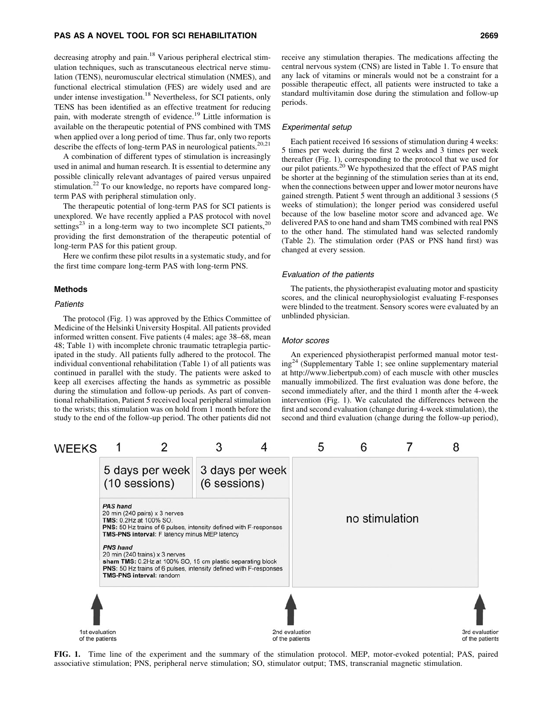# PAS AS A NOVEL TOOL FOR SCI REHABILITATION 2669

decreasing atrophy and pain.<sup>18</sup> Various peripheral electrical stimulation techniques, such as transcutaneous electrical nerve stimulation (TENS), neuromuscular electrical stimulation (NMES), and functional electrical stimulation (FES) are widely used and are under intense investigation.<sup>18</sup> Nevertheless, for SCI patients, only TENS has been identified as an effective treatment for reducing pain, with moderate strength of evidence.<sup>19</sup> Little information is available on the therapeutic potential of PNS combined with TMS when applied over a long period of time. Thus far, only two reports describe the effects of long-term PAS in neurological patients.<sup>20,21</sup>

A combination of different types of stimulation is increasingly used in animal and human research. It is essential to determine any possible clinically relevant advantages of paired versus unpaired stimulation.<sup>22</sup> To our knowledge, no reports have compared longterm PAS with peripheral stimulation only.

The therapeutic potential of long-term PAS for SCI patients is unexplored. We have recently applied a PAS protocol with novel settings<sup>23</sup> in a long-term way to two incomplete SCI patients,<sup>20</sup> providing the first demonstration of the therapeutic potential of long-term PAS for this patient group.

Here we confirm these pilot results in a systematic study, and for the first time compare long-term PAS with long-term PNS.

# Methods

## **Patients**

The protocol (Fig. 1) was approved by the Ethics Committee of Medicine of the Helsinki University Hospital. All patients provided informed written consent. Five patients (4 males; age 38–68, mean 48; Table 1) with incomplete chronic traumatic tetraplegia participated in the study. All patients fully adhered to the protocol. The individual conventional rehabilitation (Table 1) of all patients was continued in parallel with the study. The patients were asked to keep all exercises affecting the hands as symmetric as possible during the stimulation and follow-up periods. As part of conventional rehabilitation, Patient 5 received local peripheral stimulation to the wrists; this stimulation was on hold from 1 month before the study to the end of the follow-up period. The other patients did not

#### Experimental setup

Each patient received 16 sessions of stimulation during 4 weeks: 5 times per week during the first 2 weeks and 3 times per week thereafter (Fig. 1), corresponding to the protocol that we used for our pilot patients.<sup>20</sup> We hypothesized that the effect of PAS might be shorter at the beginning of the stimulation series than at its end, when the connections between upper and lower motor neurons have gained strength. Patient 5 went through an additional 3 sessions (5 weeks of stimulation); the longer period was considered useful because of the low baseline motor score and advanced age. We delivered PAS to one hand and sham TMS combined with real PNS to the other hand. The stimulated hand was selected randomly (Table 2). The stimulation order (PAS or PNS hand first) was changed at every session.

#### Evaluation of the patients

The patients, the physiotherapist evaluating motor and spasticity scores, and the clinical neurophysiologist evaluating F-responses were blinded to the treatment. Sensory scores were evaluated by an unblinded physician.

#### Motor scores

An experienced physiotherapist performed manual motor test $ing<sup>24</sup>$  (Supplementary Table 1; see online supplementary material at http://www.liebertpub.com) of each muscle with other muscles manually immobilized. The first evaluation was done before, the second immediately after, and the third 1 month after the 4-week intervention (Fig. 1). We calculated the differences between the first and second evaluation (change during 4-week stimulation), the second and third evaluation (change during the follow-up period),



FIG. 1. Time line of the experiment and the summary of the stimulation protocol. MEP, motor-evoked potential; PAS, paired associative stimulation; PNS, peripheral nerve stimulation; SO, stimulator output; TMS, transcranial magnetic stimulation.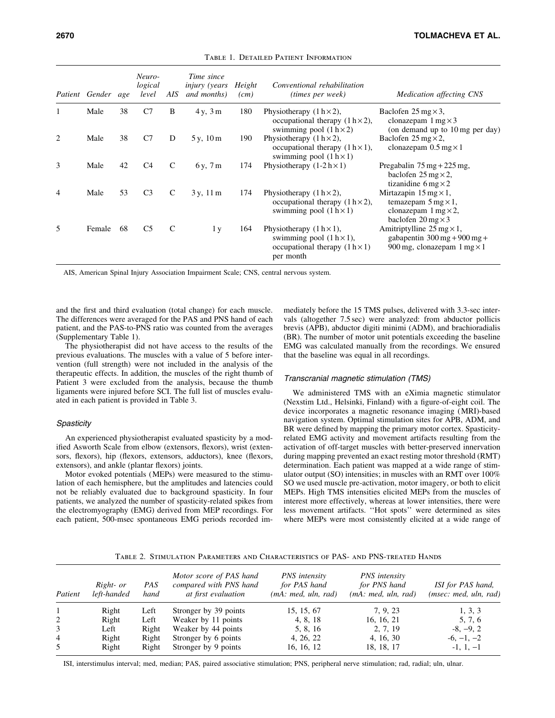|   | Patient Gender | age | Neuro-<br>logical<br>level | AIS           | Time since<br><i>injury</i> (years<br>and months) | Height<br>(cm) | Conventional rehabilitation<br>( <i>times per week</i> )                                                                   | <b>Medication affecting CNS</b>                                                                                                                      |
|---|----------------|-----|----------------------------|---------------|---------------------------------------------------|----------------|----------------------------------------------------------------------------------------------------------------------------|------------------------------------------------------------------------------------------------------------------------------------------------------|
| 1 | Male           | 38  | C7                         | B             | 4y, 3m                                            | 180            | Physiotherapy $(1 h \times 2)$ ,<br>occupational therapy $(1 h \times 2)$ ,<br>swimming pool $(1 h \times 2)$              | Baclofen $25 \text{ mg} \times 3$ ,<br>clonazepam $1 mg \times 3$<br>(on demand up to $10 \,\text{mg}$ per day)                                      |
| 2 | Male           | 38  | C7                         | D             | 5 y, 10 m                                         | 190            | Physiotherapy $(1 h \times 2)$ ,<br>occupational therapy $(1 h \times 1)$ ,<br>swimming pool $(1 h \times 1)$              | Baclofen $25 \text{ mg} \times 2$ ,<br>clonazepam $0.5 \text{ mg} \times 1$                                                                          |
| 3 | Male           | 42  | C <sub>4</sub>             | $\mathcal{C}$ | 6 y, 7 m                                          | 174            | Physiotherapy $(1-2 h \times 1)$                                                                                           | Pregabalin $75 \text{ mg} + 225 \text{ mg}$ ,<br>baclofen $25 \text{ mg} \times 2$ ,<br>tizanidine 6 mg $\times$ 2                                   |
| 4 | Male           | 53  | C <sub>3</sub>             | $\mathcal{C}$ | 3y, 11m                                           | 174            | Physiotherapy $(1 h \times 2)$ ,<br>occupational therapy $(1 h \times 2)$ ,<br>swimming pool $(1 h \times 1)$              | Mirtazapin $15 \text{ mg} \times 1$ ,<br>temazepam $5 \text{ mg} \times 1$ ,<br>clonazepam $1 mg \times 2$ ,<br>baclofen $20 \,\mathrm{mg} \times 3$ |
| 5 | Female         | 68  | C <sub>5</sub>             | C             | 1 <sub>y</sub>                                    | 164            | Physiotherapy $(1 h \times 1)$ ,<br>swimming pool $(1 h \times 1)$ ,<br>occupational therapy $(1 h \times 1)$<br>per month | Amitriptylline $25 \text{ mg} \times 1$ ,<br>gabapentin $300 \text{ mg} + 900 \text{ mg} +$<br>900 mg, clonazepam $1 \text{ mg} \times 1$            |

Table 1. Detailed Patient Information

AIS, American Spinal Injury Association Impairment Scale; CNS, central nervous system.

and the first and third evaluation (total change) for each muscle. The differences were averaged for the PAS and PNS hand of each patient, and the PAS-to-PNS ratio was counted from the averages (Supplementary Table 1).

The physiotherapist did not have access to the results of the previous evaluations. The muscles with a value of 5 before intervention (full strength) were not included in the analysis of the therapeutic effects. In addition, the muscles of the right thumb of Patient 3 were excluded from the analysis, because the thumb ligaments were injured before SCI. The full list of muscles evaluated in each patient is provided in Table 3.

# **Spasticity**

An experienced physiotherapist evaluated spasticity by a modified Asworth Scale from elbow (extensors, flexors), wrist (extensors, flexors), hip (flexors, extensors, adductors), knee (flexors, extensors), and ankle (plantar flexors) joints.

Motor evoked potentials (MEPs) were measured to the stimulation of each hemisphere, but the amplitudes and latencies could not be reliably evaluated due to background spasticity. In four patients, we analyzed the number of spasticity-related spikes from the electromyography (EMG) derived from MEP recordings. For each patient, 500-msec spontaneous EMG periods recorded immediately before the 15 TMS pulses, delivered with 3.3-sec intervals (altogether 7.5 sec) were analyzed: from abductor pollicis brevis (APB), abductor digiti minimi (ADM), and brachioradialis (BR). The number of motor unit potentials exceeding the baseline EMG was calculated manually from the recordings. We ensured that the baseline was equal in all recordings.

# Transcranial magnetic stimulation (TMS)

We administered TMS with an eXimia magnetic stimulator (Nexstim Ltd., Helsinki, Finland) with a figure-of-eight coil. The device incorporates a magnetic resonance imaging (MRI)-based navigation system. Optimal stimulation sites for APB, ADM, and BR were defined by mapping the primary motor cortex. Spasticityrelated EMG activity and movement artifacts resulting from the activation of off-target muscles with better-preserved innervation during mapping prevented an exact resting motor threshold (RMT) determination. Each patient was mapped at a wide range of stimulator output (SO) intensities; in muscles with an RMT over 100% SO we used muscle pre-activation, motor imagery, or both to elicit MEPs. High TMS intensities elicited MEPs from the muscles of interest more effectively, whereas at lower intensities, there were less movement artifacts. ''Hot spots'' were determined as sites where MEPs were most consistently elicited at a wide range of

Table 2. Stimulation Parameters and Characteristics of PAS- and PNS-treated Hands

| Patient        | Right- or<br>left-handed | <i>PAS</i><br>hand | Motor score of PAS hand<br>compared with PNS hand<br>at first evaluation | PNS intensity<br>for PAS hand<br>(mA: med, uln, rad) | PNS intensity<br>for PNS hand<br>(mA: med, uln, rad) | ISI for PAS hand,<br>(msec: med, uln, rad) |
|----------------|--------------------------|--------------------|--------------------------------------------------------------------------|------------------------------------------------------|------------------------------------------------------|--------------------------------------------|
| 1              | Right                    | Left               | Stronger by 39 points                                                    | 15, 15, 67                                           | 7.9.23                                               | 1, 3, 3                                    |
| 2              | Right                    | Left               | Weaker by 11 points                                                      | 4, 8, 18                                             | 16, 16, 21                                           | 5, 7, 6                                    |
| 3              | Left                     | Right              | Weaker by 44 points                                                      | 5, 8, 16                                             | 2, 7, 19                                             | $-8, -9, 2$                                |
| $\overline{4}$ | Right                    | Right              | Stronger by 6 points                                                     | 4, 26, 22                                            | 4, 16, 30                                            | $-6, -1, -2$                               |
| 5              | Right                    | Right              | Stronger by 9 points                                                     | 16, 16, 12                                           | 18, 18, 17                                           | $-1, 1, -1$                                |

ISI, interstimulus interval; med, median; PAS, paired associative stimulation; PNS, peripheral nerve stimulation; rad, radial; uln, ulnar.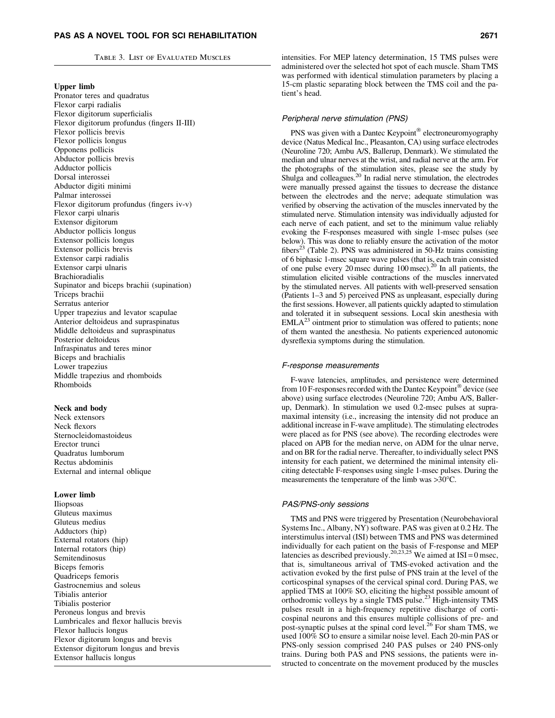# PAS AS A NOVEL TOOL FOR SCI REHABILITATION 2671

#### Table 3. List of Evaluated Muscles

## Upper limb

Pronator teres and quadratus Flexor carpi radialis Flexor digitorum superficialis Flexor digitorum profundus (fingers II-III) Flexor pollicis brevis Flexor pollicis longus Opponens pollicis Abductor pollicis brevis Adductor pollicis Dorsal interossei Abductor digiti minimi Palmar interossei Flexor digitorum profundus (fingers iv-v) Flexor carpi ulnaris Extensor digitorum Abductor pollicis longus Extensor pollicis longus Extensor pollicis brevis Extensor carpi radialis Extensor carpi ulnaris Brachioradialis Supinator and biceps brachii (supination) Triceps brachii Serratus anterior Upper trapezius and levator scapulae Anterior deltoideus and supraspinatus Middle deltoideus and supraspinatus Posterior deltoideus Infraspinatus and teres minor Biceps and brachialis Lower trapezius Middle trapezius and rhomboids Rhomboids

#### Neck and body

Neck extensors Neck flexors Sternocleidomastoideus Erector trunci Quadratus lumborum Rectus abdominis External and internal oblique

## Lower limb

Iliopsoas Gluteus maximus Gluteus medius Adductors (hip) External rotators (hip) Internal rotators (hip) Semitendinosus Biceps femoris Quadriceps femoris Gastrocnemius and soleus Tibialis anterior Tibialis posterior Peroneus longus and brevis Lumbricales and flexor hallucis brevis Flexor hallucis longus Flexor digitorum longus and brevis Extensor digitorum longus and brevis Extensor hallucis longus

## Peripheral nerve stimulation (PNS)

tient's head.

PNS was given with a Dantec Keypoint<sup>®</sup> electroneuromyography device (Natus Medical Inc., Pleasanton, CA) using surface electrodes (Neuroline 720; Ambu A/S, Ballerup, Denmark). We stimulated the median and ulnar nerves at the wrist, and radial nerve at the arm. For the photographs of the stimulation sites, please see the study by Shulga and colleagues.<sup>20</sup> In radial nerve stimulation, the electrodes were manually pressed against the tissues to decrease the distance between the electrodes and the nerve; adequate stimulation was verified by observing the activation of the muscles innervated by the stimulated nerve. Stimulation intensity was individually adjusted for each nerve of each patient, and set to the minimum value reliably evoking the F-responses measured with single 1-msec pulses (see below). This was done to reliably ensure the activation of the motor fibers<sup>23</sup> (Table 2). PNS was administered in 50-Hz trains consisting of 6 biphasic 1-msec square wave pulses (that is, each train consisted of o opphasic 1-msec square wave pulses (that is, each than consistent of one pulse every 20 msec during  $100$  msec).<sup>20</sup> In all patients, the stimulation elicited visible contractions of the muscles innervated by the stimulated nerves. All patients with well-preserved sensation (Patients 1–3 and 5) perceived PNS as unpleasant, especially during the first sessions. However, all patients quickly adapted to stimulation and tolerated it in subsequent sessions. Local skin anesthesia with  $EMLA<sup>23</sup>$  ointment prior to stimulation was offered to patients; none of them wanted the anesthesia. No patients experienced autonomic dysreflexia symptoms during the stimulation.

## F-response measurements

F-wave latencies, amplitudes, and persistence were determined from 10 F-responses recorded with the Dantec Keypoint<sup>®</sup> device (see above) using surface electrodes (Neuroline 720; Ambu A/S, Ballerup, Denmark). In stimulation we used 0.2-msec pulses at supramaximal intensity (i.e., increasing the intensity did not produce an additional increase in F-wave amplitude). The stimulating electrodes were placed as for PNS (see above). The recording electrodes were placed on APB for the median nerve, on ADM for the ulnar nerve, and on BR for the radial nerve. Thereafter, to individually select PNS intensity for each patient, we determined the minimal intensity eliciting detectable F-responses using single 1-msec pulses. During the measurements the temperature of the limb was >30°C.

#### PAS/PNS-only sessions

TMS and PNS were triggered by Presentation (Neurobehavioral Systems Inc., Albany, NY) software. PAS was given at 0.2 Hz. The interstimulus interval (ISI) between TMS and PNS was determined individually for each patient on the basis of F-response and MEP latencies as described previously.<sup>20,23,25</sup> We aimed at  $ISI = 0$  msec, that is, simultaneous arrival of TMS-evoked activation and the activation evoked by the first pulse of PNS train at the level of the corticospinal synapses of the cervical spinal cord. During PAS, we applied TMS at 100% SO, eliciting the highest possible amount of orthodromic volleys by a single TMS pulse.<sup>23</sup> High-intensity TMS pulses result in a high-frequency repetitive discharge of corticospinal neurons and this ensures multiple collisions of pre- and post-synaptic pulses at the spinal cord level.<sup>26</sup> For sham TMS, we used 100% SO to ensure a similar noise level. Each 20-min PAS or PNS-only session comprised 240 PAS pulses or 240 PNS-only trains. During both PAS and PNS sessions, the patients were instructed to concentrate on the movement produced by the muscles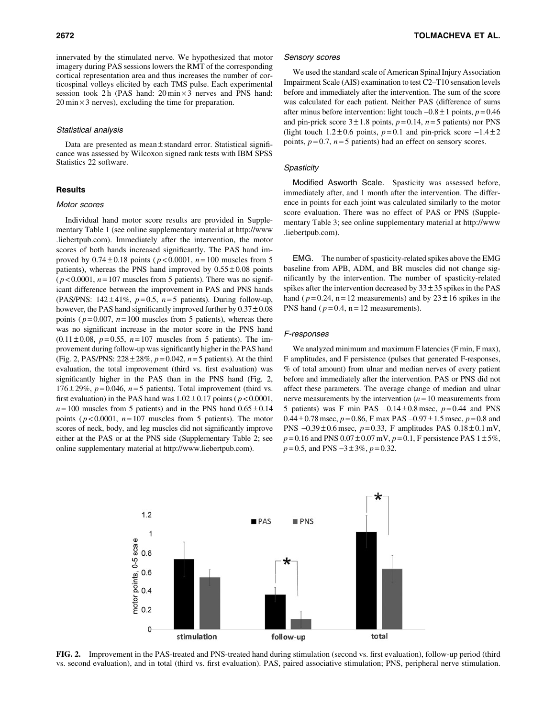# Statistical analysis

Data are presented as mean  $\pm$  standard error. Statistical significance was assessed by Wilcoxon signed rank tests with IBM SPSS Statistics 22 software.

#### Results

# Motor scores

Individual hand motor score results are provided in Supplementary Table 1 (see online supplementary material at http://www .liebertpub.com). Immediately after the intervention, the motor scores of both hands increased significantly. The PAS hand improved by  $0.74 \pm 0.18$  points ( $p < 0.0001$ ,  $n = 100$  muscles from 5 patients), whereas the PNS hand improved by  $0.55 \pm 0.08$  points  $(p<0.0001, n=107$  muscles from 5 patients). There was no significant difference between the improvement in PAS and PNS hands (PAS/PNS:  $142 \pm 41\%$ ,  $p=0.5$ ,  $n=5$  patients). During follow-up, however, the PAS hand significantly improved further by  $0.37 \pm 0.08$ points ( $p = 0.007$ ,  $n = 100$  muscles from 5 patients), whereas there was no significant increase in the motor score in the PNS hand  $(0.11 \pm 0.08, p = 0.55, n = 107$  muscles from 5 patients). The improvement during follow-up was significantly higher in the PAS hand (Fig. 2, PAS/PNS:  $228 \pm 28\%$ ,  $p = 0.042$ ,  $n = 5$  patients). At the third evaluation, the total improvement (third vs. first evaluation) was significantly higher in the PAS than in the PNS hand (Fig. 2,  $176 \pm 29\%$ ,  $p = 0.046$ ,  $n = 5$  patients). Total improvement (third vs. first evaluation) in the PAS hand was  $1.02 \pm 0.17$  points ( $p < 0.0001$ ,  $n = 100$  muscles from 5 patients) and in the PNS hand  $0.65 \pm 0.14$ points ( $p < 0.0001$ ,  $n = 107$  muscles from 5 patients). The motor scores of neck, body, and leg muscles did not significantly improve either at the PAS or at the PNS side (Supplementary Table 2; see online supplementary material at http://www.liebertpub.com).

#### Sensory scores

We used the standard scale of American Spinal Injury Association Impairment Scale (AIS) examination to test C2–T10 sensation levels before and immediately after the intervention. The sum of the score was calculated for each patient. Neither PAS (difference of sums after minus before intervention: light touch  $-0.8 \pm 1$  points,  $p = 0.46$ and pin-prick score  $3 \pm 1.8$  points,  $p = 0.14$ ,  $n = 5$  patients) nor PNS (light touch  $1.2 \pm 0.6$  points,  $p = 0.1$  and pin-prick score  $-1.4 \pm 2$ ) points,  $p=0.7$ ,  $n=5$  patients) had an effect on sensory scores.

#### **Spasticity**

Modified Asworth Scale. Spasticity was assessed before, immediately after, and 1 month after the intervention. The difference in points for each joint was calculated similarly to the motor score evaluation. There was no effect of PAS or PNS (Supplementary Table 3; see online supplementary material at http://www .liebertpub.com).

EMG. The number of spasticity-related spikes above the EMG baseline from APB, ADM, and BR muscles did not change significantly by the intervention. The number of spasticity-related spikes after the intervention decreased by  $33 \pm 35$  spikes in the PAS hand ( $p = 0.24$ , n = 12 measurements) and by  $23 \pm 16$  spikes in the PNS hand ( $p = 0.4$ ,  $n = 12$  measurements).

# F-responses

We analyzed minimum and maximum F latencies (F min, F max), F amplitudes, and F persistence (pulses that generated F-responses, % of total amount) from ulnar and median nerves of every patient before and immediately after the intervention. PAS or PNS did not affect these parameters. The average change of median and ulnar nerve measurements by the intervention  $(n = 10$  measurements from 5 patients) was F min PAS  $-0.14 \pm 0.8$  msec,  $p = 0.44$  and PNS 0.44  $\pm$  0.78 msec,  $p = 0.86$ , F max PAS  $-0.97 \pm 1.5$  msec,  $p = 0.8$  and PNS  $-0.39 \pm 0.6$  msec,  $p = 0.33$ , F amplitudes PAS  $0.18 \pm 0.1$  mV,  $p = 0.16$  and PNS  $0.07 \pm 0.07$  mV,  $p = 0.1$ , F persistence PAS  $1 \pm 5\%$ ,  $p = 0.5$ , and PNS  $-3 \pm 3\%$ ,  $p = 0.32$ .



FIG. 2. Improvement in the PAS-treated and PNS-treated hand during stimulation (second vs. first evaluation), follow-up period (third vs. second evaluation), and in total (third vs. first evaluation). PAS, paired associative stimulation; PNS, peripheral nerve stimulation.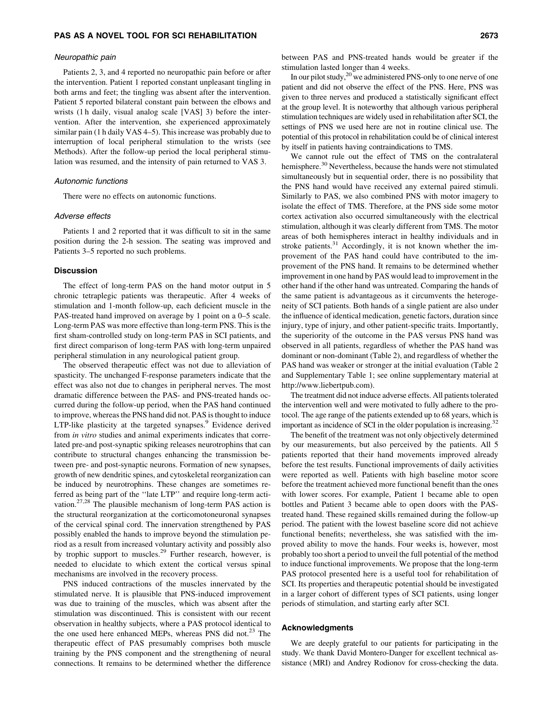# PAS AS A NOVEL TOOL FOR SCI REHABILITATION 2673

#### Neuropathic pain

Patients 2, 3, and 4 reported no neuropathic pain before or after the intervention. Patient 1 reported constant unpleasant tingling in both arms and feet; the tingling was absent after the intervention. Patient 5 reported bilateral constant pain between the elbows and wrists (1 h daily, visual analog scale [VAS] 3) before the intervention. After the intervention, she experienced approximately similar pain (1 h daily VAS 4–5). This increase was probably due to interruption of local peripheral stimulation to the wrists (see Methods). After the follow-up period the local peripheral stimulation was resumed, and the intensity of pain returned to VAS 3.

#### Autonomic functions

There were no effects on autonomic functions.

## Adverse effects

Patients 1 and 2 reported that it was difficult to sit in the same position during the 2-h session. The seating was improved and Patients 3–5 reported no such problems.

## **Discussion**

The effect of long-term PAS on the hand motor output in 5 chronic tetraplegic patients was therapeutic. After 4 weeks of stimulation and 1-month follow-up, each deficient muscle in the PAS-treated hand improved on average by 1 point on a 0–5 scale. Long-term PAS was more effective than long-term PNS. This is the first sham-controlled study on long-term PAS in SCI patients, and first direct comparison of long-term PAS with long-term unpaired peripheral stimulation in any neurological patient group.

The observed therapeutic effect was not due to alleviation of spasticity. The unchanged F-response parameters indicate that the effect was also not due to changes in peripheral nerves. The most dramatic difference between the PAS- and PNS-treated hands occurred during the follow-up period, when the PAS hand continued to improve, whereas the PNS hand did not. PAS is thought to induce LTP-like plasticity at the targeted synapses. $9$  Evidence derived from in vitro studies and animal experiments indicates that correlated pre-and post-synaptic spiking releases neurotrophins that can contribute to structural changes enhancing the transmission between pre- and post-synaptic neurons. Formation of new synapses, growth of new dendritic spines, and cytoskeletal reorganization can be induced by neurotrophins. These changes are sometimes referred as being part of the ''late LTP'' and require long-term activation.27,28 The plausible mechanism of long-term PAS action is the structural reorganization at the corticomotoneuronal synapses of the cervical spinal cord. The innervation strengthened by PAS possibly enabled the hands to improve beyond the stimulation period as a result from increased voluntary activity and possibly also by trophic support to muscles.<sup>29</sup> Further research, however, is needed to elucidate to which extent the cortical versus spinal mechanisms are involved in the recovery process.

PNS induced contractions of the muscles innervated by the stimulated nerve. It is plausible that PNS-induced improvement was due to training of the muscles, which was absent after the stimulation was discontinued. This is consistent with our recent observation in healthy subjects, where a PAS protocol identical to the one used here enhanced MEPs, whereas PNS did not. $23$  The therapeutic effect of PAS presumably comprises both muscle training by the PNS component and the strengthening of neural connections. It remains to be determined whether the difference between PAS and PNS-treated hands would be greater if the stimulation lasted longer than 4 weeks.

In our pilot study,<sup>20</sup> we administered PNS-only to one nerve of one patient and did not observe the effect of the PNS. Here, PNS was given to three nerves and produced a statistically significant effect at the group level. It is noteworthy that although various peripheral stimulation techniques are widely used in rehabilitation after SCI, the settings of PNS we used here are not in routine clinical use. The potential of this protocol in rehabilitation could be of clinical interest by itself in patients having contraindications to TMS.

We cannot rule out the effect of TMS on the contralateral hemisphere.<sup>30</sup> Nevertheless, because the hands were not stimulated simultaneously but in sequential order, there is no possibility that the PNS hand would have received any external paired stimuli. Similarly to PAS, we also combined PNS with motor imagery to isolate the effect of TMS. Therefore, at the PNS side some motor cortex activation also occurred simultaneously with the electrical stimulation, although it was clearly different from TMS. The motor areas of both hemispheres interact in healthy individuals and in stroke patients. $31$  Accordingly, it is not known whether the improvement of the PAS hand could have contributed to the improvement of the PNS hand. It remains to be determined whether improvement in one hand by PAS would lead to improvement in the other hand if the other hand was untreated. Comparing the hands of the same patient is advantageous as it circumvents the heterogeneity of SCI patients. Both hands of a single patient are also under the influence of identical medication, genetic factors, duration since injury, type of injury, and other patient-specific traits. Importantly, the superiority of the outcome in the PAS versus PNS hand was observed in all patients, regardless of whether the PAS hand was dominant or non-dominant (Table 2), and regardless of whether the PAS hand was weaker or stronger at the initial evaluation (Table 2 and Supplementary Table 1; see online supplementary material at http://www.liebertpub.com).

The treatment did not induce adverse effects. All patients tolerated the intervention well and were motivated to fully adhere to the protocol. The age range of the patients extended up to 68 years, which is important as incidence of SCI in the older population is increasing.<sup>32</sup>

The benefit of the treatment was not only objectively determined by our measurements, but also perceived by the patients. All 5 patients reported that their hand movements improved already before the test results. Functional improvements of daily activities were reported as well. Patients with high baseline motor score before the treatment achieved more functional benefit than the ones with lower scores. For example, Patient 1 became able to open bottles and Patient 3 became able to open doors with the PAStreated hand. These regained skills remained during the follow-up period. The patient with the lowest baseline score did not achieve functional benefits; nevertheless, she was satisfied with the improved ability to move the hands. Four weeks is, however, most probably too short a period to unveil the full potential of the method to induce functional improvements. We propose that the long-term PAS protocol presented here is a useful tool for rehabilitation of SCI. Its properties and therapeutic potential should be investigated in a larger cohort of different types of SCI patients, using longer periods of stimulation, and starting early after SCI.

# Acknowledgments

We are deeply grateful to our patients for participating in the study. We thank David Montero-Danger for excellent technical assistance (MRI) and Andrey Rodionov for cross-checking the data.